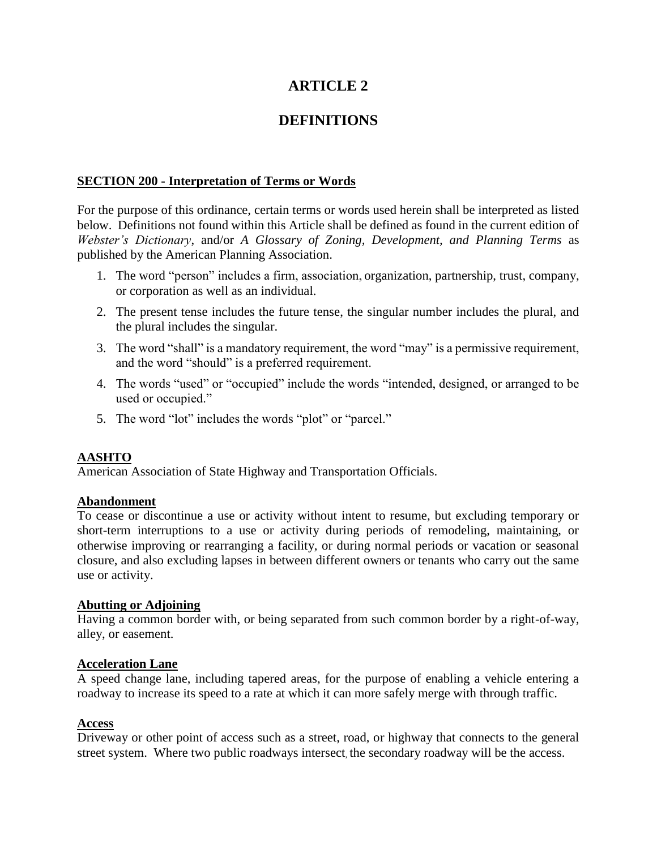# **ARTICLE 2**

# **DEFINITIONS**

## **SECTION 200 - Interpretation of Terms or Words**

For the purpose of this ordinance, certain terms or words used herein shall be interpreted as listed below. Definitions not found within this Article shall be defined as found in the current edition of *Webster's Dictionary*, and/or *A Glossary of Zoning, Development, and Planning Terms* as published by the American Planning Association.

- 1. The word "person" includes a firm, association, organization, partnership, trust, company, or corporation as well as an individual.
- 2. The present tense includes the future tense, the singular number includes the plural, and the plural includes the singular.
- 3. The word "shall" is a mandatory requirement, the word "may" is a permissive requirement, and the word "should" is a preferred requirement.
- 4. The words "used" or "occupied" include the words "intended, designed, or arranged to be used or occupied."
- 5. The word "lot" includes the words "plot" or "parcel."

# **AASHTO**

American Association of State Highway and Transportation Officials.

## **Abandonment**

To cease or discontinue a use or activity without intent to resume, but excluding temporary or short-term interruptions to a use or activity during periods of remodeling, maintaining, or otherwise improving or rearranging a facility, or during normal periods or vacation or seasonal closure, and also excluding lapses in between different owners or tenants who carry out the same use or activity.

## **Abutting or Adjoining**

Having a common border with, or being separated from such common border by a right-of-way, alley, or easement.

## **Acceleration Lane**

A speed change lane, including tapered areas, for the purpose of enabling a vehicle entering a roadway to increase its speed to a rate at which it can more safely merge with through traffic.

## **Access**

Driveway or other point of access such as a street, road, or highway that connects to the general street system. Where two public roadways intersect, the secondary roadway will be the access.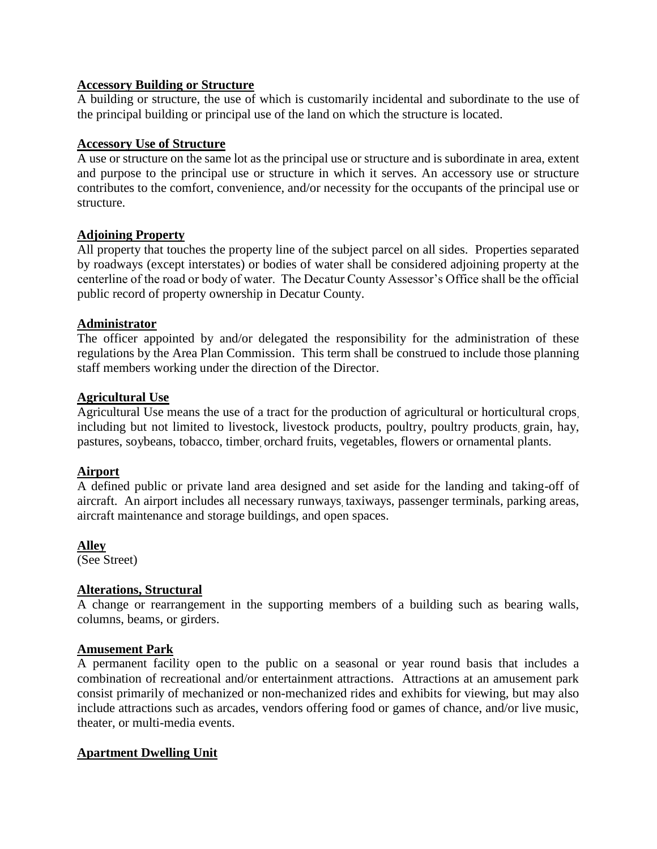## **Accessory Building or Structure**

A building or structure, the use of which is customarily incidental and subordinate to the use of the principal building or principal use of the land on which the structure is located.

## **Accessory Use of Structure**

A use or structure on the same lot as the principal use or structure and is subordinate in area, extent and purpose to the principal use or structure in which it serves. An accessory use or structure contributes to the comfort, convenience, and/or necessity for the occupants of the principal use or structure.

## **Adjoining Property**

All property that touches the property line of the subject parcel on all sides. Properties separated by roadways (except interstates) or bodies of water shall be considered adjoining property at the centerline of the road or body of water. The Decatur County Assessor's Office shall be the official public record of property ownership in Decatur County.

## **Administrator**

The officer appointed by and/or delegated the responsibility for the administration of these regulations by the Area Plan Commission. This term shall be construed to include those planning staff members working under the direction of the Director.

## **Agricultural Use**

Agricultural Use means the use of a tract for the production of agricultural or horticultural crops, including but not limited to livestock, livestock products, poultry, poultry products, grain, hay, pastures, soybeans, tobacco, timber, orchard fruits, vegetables, flowers or ornamental plants.

# **Airport**

A defined public or private land area designed and set aside for the landing and taking-off of aircraft. An airport includes all necessary runways, taxiways, passenger terminals, parking areas, aircraft maintenance and storage buildings, and open spaces.

# **Alley**

(See Street)

# **Alterations, Structural**

A change or rearrangement in the supporting members of a building such as bearing walls, columns, beams, or girders.

## **Amusement Park**

A permanent facility open to the public on a seasonal or year round basis that includes a combination of recreational and/or entertainment attractions. Attractions at an amusement park consist primarily of mechanized or non-mechanized rides and exhibits for viewing, but may also include attractions such as arcades, vendors offering food or games of chance, and/or live music, theater, or multi-media events.

# **Apartment Dwelling Unit**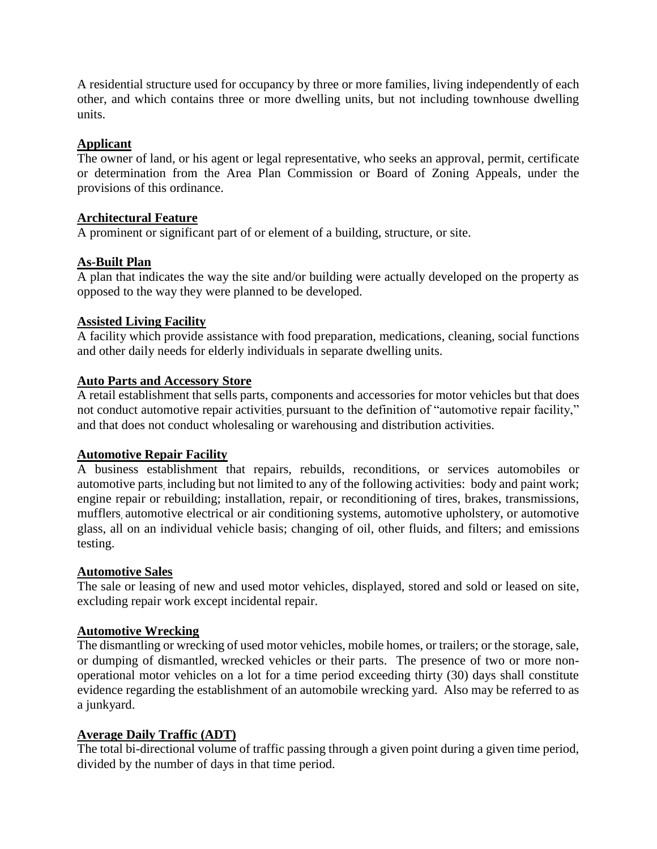A residential structure used for occupancy by three or more families, living independently of each other, and which contains three or more dwelling units, but not including townhouse dwelling units.

## **Applicant**

The owner of land, or his agent or legal representative, who seeks an approval, permit, certificate or determination from the Area Plan Commission or Board of Zoning Appeals, under the provisions of this ordinance.

## **Architectural Feature**

A prominent or significant part of or element of a building, structure, or site.

## **As-Built Plan**

A plan that indicates the way the site and/or building were actually developed on the property as opposed to the way they were planned to be developed.

## **Assisted Living Facility**

A facility which provide assistance with food preparation, medications, cleaning, social functions and other daily needs for elderly individuals in separate dwelling units.

## **Auto Parts and Accessory Store**

A retail establishment that sells parts, components and accessories for motor vehicles but that does not conduct automotive repair activities, pursuant to the definition of "automotive repair facility," and that does not conduct wholesaling or warehousing and distribution activities.

## **Automotive Repair Facility**

A business establishment that repairs, rebuilds, reconditions, or services automobiles or automotive parts, including but not limited to any of the following activities: body and paint work; engine repair or rebuilding; installation, repair, or reconditioning of tires, brakes, transmissions, mufflers, automotive electrical or air conditioning systems, automotive upholstery, or automotive glass, all on an individual vehicle basis; changing of oil, other fluids, and filters; and emissions testing.

## **Automotive Sales**

The sale or leasing of new and used motor vehicles, displayed, stored and sold or leased on site, excluding repair work except incidental repair.

## **Automotive Wrecking**

The dismantling or wrecking of used motor vehicles, mobile homes, or trailers; or the storage, sale, or dumping of dismantled, wrecked vehicles or their parts. The presence of two or more nonoperational motor vehicles on a lot for a time period exceeding thirty (30) days shall constitute evidence regarding the establishment of an automobile wrecking yard. Also may be referred to as a junkyard.

## **Average Daily Traffic (ADT)**

The total bi-directional volume of traffic passing through a given point during a given time period, divided by the number of days in that time period.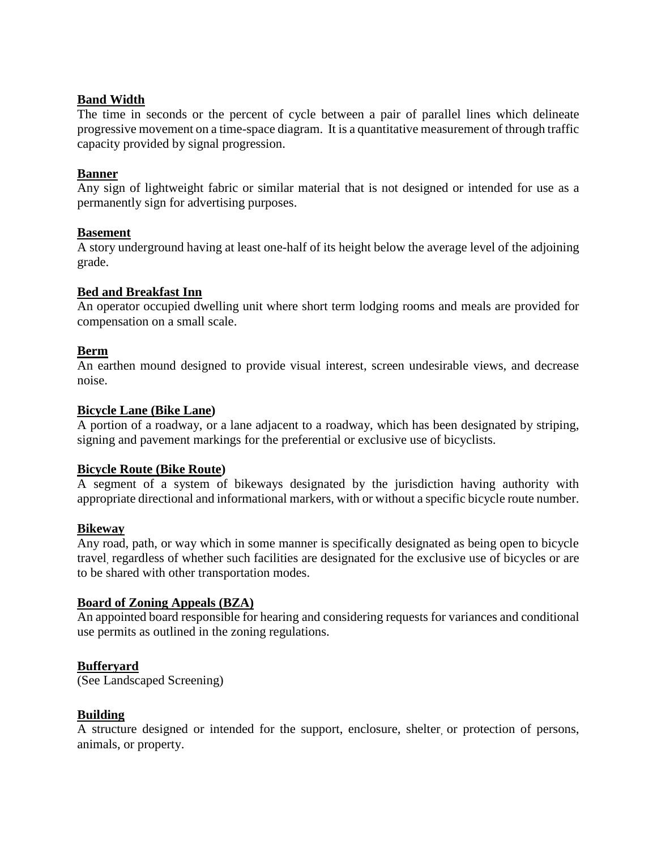## **Band Width**

The time in seconds or the percent of cycle between a pair of parallel lines which delineate progressive movement on a time-space diagram. It is a quantitative measurement of through traffic capacity provided by signal progression.

## **Banner**

Any sign of lightweight fabric or similar material that is not designed or intended for use as a permanently sign for advertising purposes.

## **Basement**

A story underground having at least one-half of its height below the average level of the adjoining grade.

## **Bed and Breakfast Inn**

An operator occupied dwelling unit where short term lodging rooms and meals are provided for compensation on a small scale.

## **Berm**

An earthen mound designed to provide visual interest, screen undesirable views, and decrease noise.

## **Bicycle Lane (Bike Lane)**

A portion of a roadway, or a lane adjacent to a roadway, which has been designated by striping, signing and pavement markings for the preferential or exclusive use of bicyclists.

## **Bicycle Route (Bike Route)**

A segment of a system of bikeways designated by the jurisdiction having authority with appropriate directional and informational markers, with or without a specific bicycle route number.

## **Bikeway**

Any road, path, or way which in some manner is specifically designated as being open to bicycle travel, regardless of whether such facilities are designated for the exclusive use of bicycles or are to be shared with other transportation modes.

## **Board of Zoning Appeals (BZA)**

An appointed board responsible for hearing and considering requests for variances and conditional use permits as outlined in the zoning regulations.

# **Bufferyard**

(See Landscaped Screening)

## **Building**

A structure designed or intended for the support, enclosure, shelter, or protection of persons, animals, or property.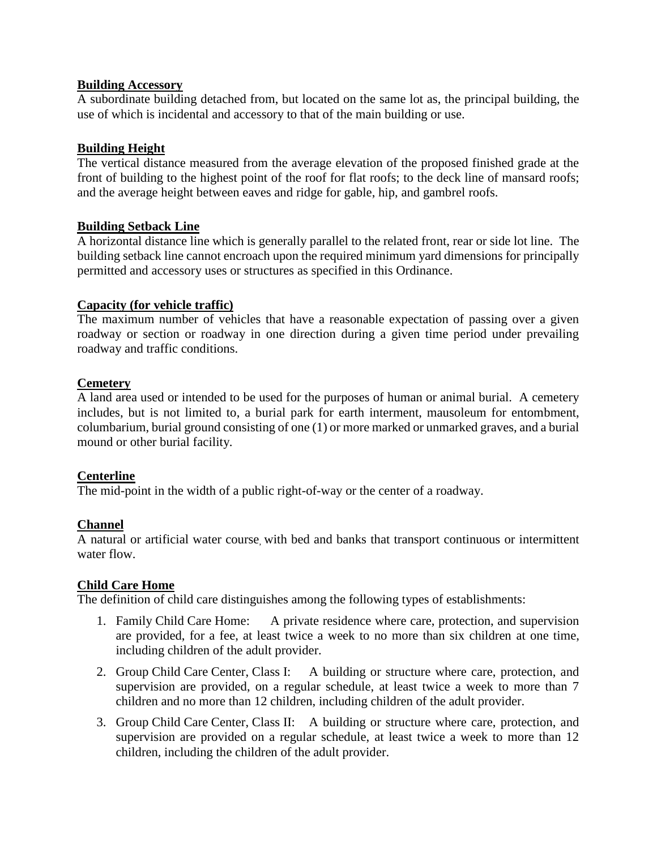## **Building Accessory**

A subordinate building detached from, but located on the same lot as, the principal building, the use of which is incidental and accessory to that of the main building or use.

## **Building Height**

The vertical distance measured from the average elevation of the proposed finished grade at the front of building to the highest point of the roof for flat roofs; to the deck line of mansard roofs; and the average height between eaves and ridge for gable, hip, and gambrel roofs.

## **Building Setback Line**

A horizontal distance line which is generally parallel to the related front, rear or side lot line. The building setback line cannot encroach upon the required minimum yard dimensions for principally permitted and accessory uses or structures as specified in this Ordinance.

## **Capacity (for vehicle traffic)**

The maximum number of vehicles that have a reasonable expectation of passing over a given roadway or section or roadway in one direction during a given time period under prevailing roadway and traffic conditions.

## **Cemetery**

A land area used or intended to be used for the purposes of human or animal burial. A cemetery includes, but is not limited to, a burial park for earth interment, mausoleum for entombment, columbarium, burial ground consisting of one (1) or more marked or unmarked graves, and a burial mound or other burial facility.

## **Centerline**

The mid-point in the width of a public right-of-way or the center of a roadway.

# **Channel**

A natural or artificial water course, with bed and banks that transport continuous or intermittent water flow.

## **Child Care Home**

The definition of child care distinguishes among the following types of establishments:

- 1. Family Child Care Home: A private residence where care, protection, and supervision are provided, for a fee, at least twice a week to no more than six children at one time, including children of the adult provider.
- 2. Group Child Care Center, Class I: A building or structure where care, protection, and supervision are provided, on a regular schedule, at least twice a week to more than 7 children and no more than 12 children, including children of the adult provider.
- 3. Group Child Care Center, Class II: A building or structure where care, protection, and supervision are provided on a regular schedule, at least twice a week to more than 12 children, including the children of the adult provider.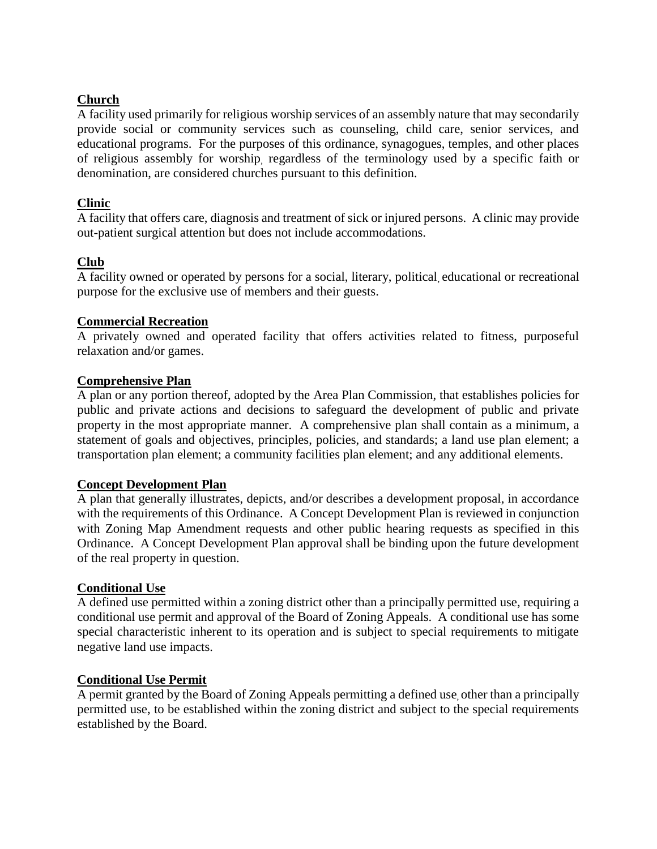## **Church**

A facility used primarily for religious worship services of an assembly nature that may secondarily provide social or community services such as counseling, child care, senior services, and educational programs. For the purposes of this ordinance, synagogues, temples, and other places of religious assembly for worship, regardless of the terminology used by a specific faith or denomination, are considered churches pursuant to this definition.

## **Clinic**

A facility that offers care, diagnosis and treatment of sick or injured persons. A clinic may provide out-patient surgical attention but does not include accommodations.

## **Club**

A facility owned or operated by persons for a social, literary, political, educational or recreational purpose for the exclusive use of members and their guests.

## **Commercial Recreation**

A privately owned and operated facility that offers activities related to fitness, purposeful relaxation and/or games.

## **Comprehensive Plan**

A plan or any portion thereof, adopted by the Area Plan Commission, that establishes policies for public and private actions and decisions to safeguard the development of public and private property in the most appropriate manner. A comprehensive plan shall contain as a minimum, a statement of goals and objectives, principles, policies, and standards; a land use plan element; a transportation plan element; a community facilities plan element; and any additional elements.

## **Concept Development Plan**

A plan that generally illustrates, depicts, and/or describes a development proposal, in accordance with the requirements of this Ordinance. A Concept Development Plan is reviewed in conjunction with Zoning Map Amendment requests and other public hearing requests as specified in this Ordinance. A Concept Development Plan approval shall be binding upon the future development of the real property in question.

## **Conditional Use**

A defined use permitted within a zoning district other than a principally permitted use, requiring a conditional use permit and approval of the Board of Zoning Appeals. A conditional use has some special characteristic inherent to its operation and is subject to special requirements to mitigate negative land use impacts.

## **Conditional Use Permit**

A permit granted by the Board of Zoning Appeals permitting a defined use, other than a principally permitted use, to be established within the zoning district and subject to the special requirements established by the Board.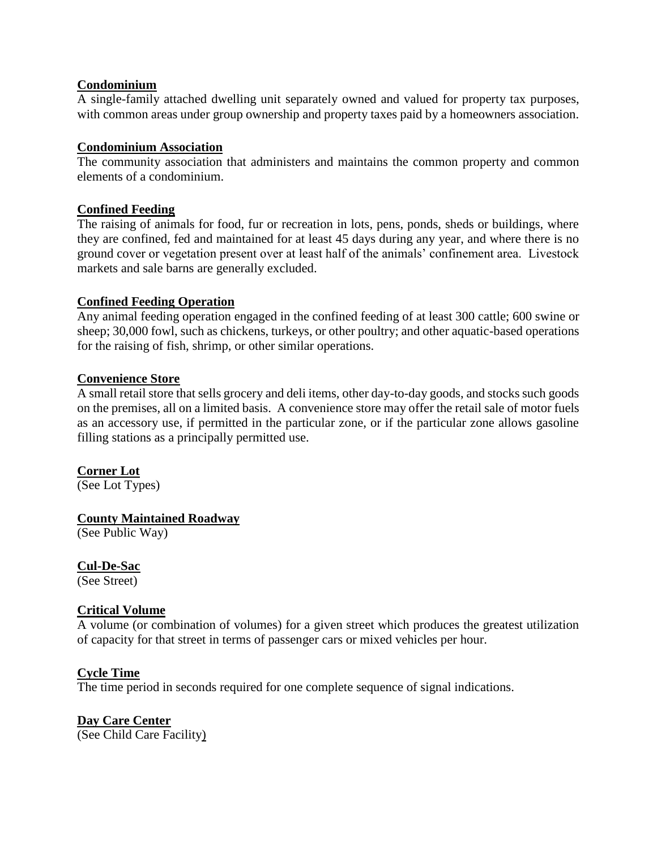## **Condominium**

A single-family attached dwelling unit separately owned and valued for property tax purposes, with common areas under group ownership and property taxes paid by a homeowners association.

## **Condominium Association**

The community association that administers and maintains the common property and common elements of a condominium.

## **Confined Feeding**

The raising of animals for food, fur or recreation in lots, pens, ponds, sheds or buildings, where they are confined, fed and maintained for at least 45 days during any year, and where there is no ground cover or vegetation present over at least half of the animals' confinement area. Livestock markets and sale barns are generally excluded.

## **Confined Feeding Operation**

Any animal feeding operation engaged in the confined feeding of at least 300 cattle; 600 swine or sheep; 30,000 fowl, such as chickens, turkeys, or other poultry; and other aquatic-based operations for the raising of fish, shrimp, or other similar operations.

## **Convenience Store**

A small retail store that sells grocery and deli items, other day-to-day goods, and stocks such goods on the premises, all on a limited basis. A convenience store may offer the retail sale of motor fuels as an accessory use, if permitted in the particular zone, or if the particular zone allows gasoline filling stations as a principally permitted use.

# **Corner Lot**

(See Lot Types)

# **County Maintained Roadway**

(See Public Way)

# **Cul-De-Sac**

(See Street)

# **Critical Volume**

A volume (or combination of volumes) for a given street which produces the greatest utilization of capacity for that street in terms of passenger cars or mixed vehicles per hour.

## **Cycle Time**

The time period in seconds required for one complete sequence of signal indications.

**Day Care Center** (See Child Care Facility)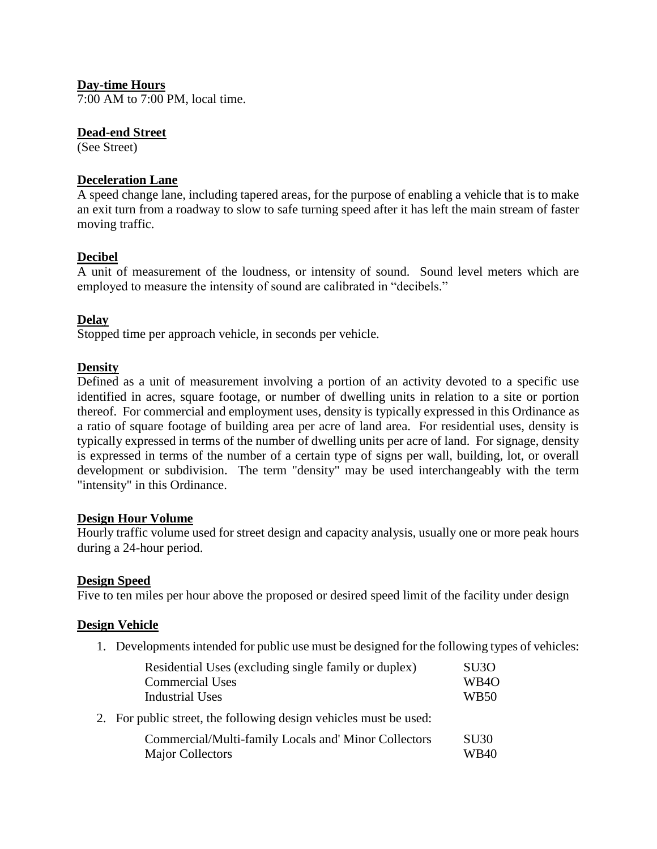## **Day-time Hours**

7:00 AM to 7:00 PM, local time.

#### **Dead-end Street**

(See Street)

## **Deceleration Lane**

A speed change lane, including tapered areas, for the purpose of enabling a vehicle that is to make an exit turn from a roadway to slow to safe turning speed after it has left the main stream of faster moving traffic.

## **Decibel**

A unit of measurement of the loudness, or intensity of sound. Sound level meters which are employed to measure the intensity of sound are calibrated in "decibels."

## **Delay**

Stopped time per approach vehicle, in seconds per vehicle.

## **Density**

Defined as a unit of measurement involving a portion of an activity devoted to a specific use identified in acres, square footage, or number of dwelling units in relation to a site or portion thereof. For commercial and employment uses, density is typically expressed in this Ordinance as a ratio of square footage of building area per acre of land area. For residential uses, density is typically expressed in terms of the number of dwelling units per acre of land. For signage, density is expressed in terms of the number of a certain type of signs per wall, building, lot, or overall development or subdivision. The term "density" may be used interchangeably with the term "intensity" in this Ordinance.

## **Design Hour Volume**

Hourly traffic volume used for street design and capacity analysis, usually one or more peak hours during a 24-hour period.

## **Design Speed**

Five to ten miles per hour above the proposed or desired speed limit of the facility under design

## **Design Vehicle**

1. Developments intended for public use must be designed for the following types of vehicles:

| Residential Uses (excluding single family or duplex)              | SU <sub>3</sub> O |
|-------------------------------------------------------------------|-------------------|
| <b>Commercial Uses</b>                                            | WB <sub>4</sub> O |
| <b>Industrial Uses</b>                                            | <b>WB50</b>       |
| 2. For public street, the following design vehicles must be used: |                   |
| Commercial/Multi-family Locals and' Minor Collectors              | <b>SU30</b>       |
| <b>Major Collectors</b>                                           | <b>WB40</b>       |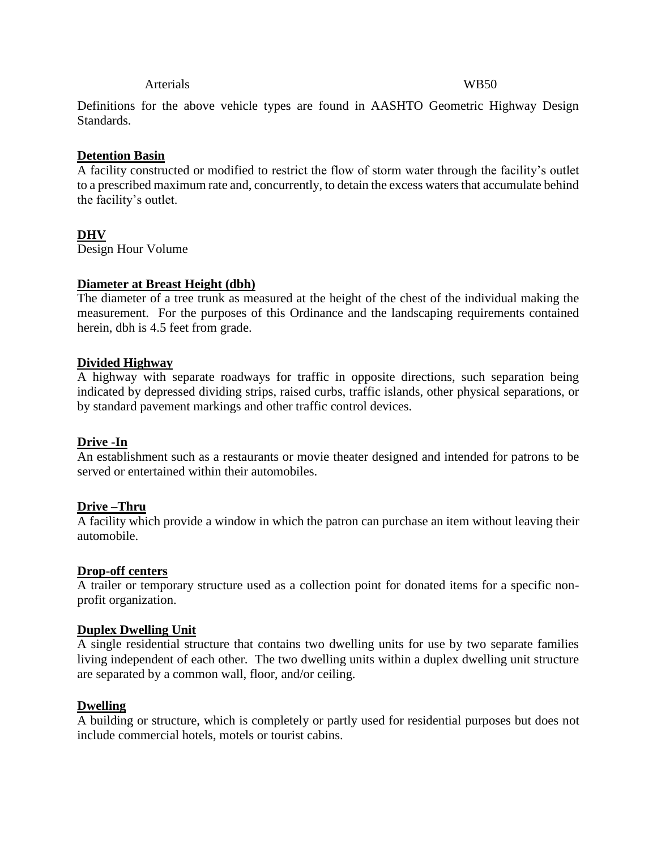#### Arterials WB50

Definitions for the above vehicle types are found in AASHTO Geometric Highway Design Standards.

#### **Detention Basin**

A facility constructed or modified to restrict the flow of storm water through the facility's outlet to a prescribed maximum rate and, concurrently, to detain the excess waters that accumulate behind the facility's outlet.

#### **DHV**

Design Hour Volume

#### **Diameter at Breast Height (dbh)**

The diameter of a tree trunk as measured at the height of the chest of the individual making the measurement. For the purposes of this Ordinance and the landscaping requirements contained herein, dbh is 4.5 feet from grade.

#### **Divided Highway**

A highway with separate roadways for traffic in opposite directions, such separation being indicated by depressed dividing strips, raised curbs, traffic islands, other physical separations, or by standard pavement markings and other traffic control devices.

## **Drive -In**

An establishment such as a restaurants or movie theater designed and intended for patrons to be served or entertained within their automobiles.

#### **Drive –Thru**

A facility which provide a window in which the patron can purchase an item without leaving their automobile.

#### **Drop-off centers**

A trailer or temporary structure used as a collection point for donated items for a specific nonprofit organization.

#### **Duplex Dwelling Unit**

A single residential structure that contains two dwelling units for use by two separate families living independent of each other. The two dwelling units within a duplex dwelling unit structure are separated by a common wall, floor, and/or ceiling.

#### **Dwelling**

A building or structure, which is completely or partly used for residential purposes but does not include commercial hotels, motels or tourist cabins.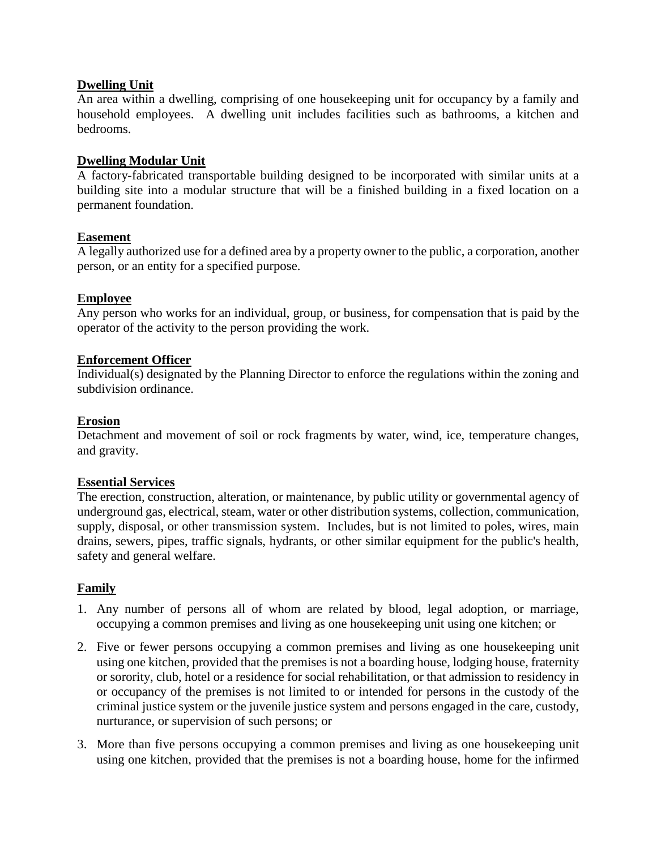## **Dwelling Unit**

An area within a dwelling, comprising of one housekeeping unit for occupancy by a family and household employees. A dwelling unit includes facilities such as bathrooms, a kitchen and bedrooms.

## **Dwelling Modular Unit**

A factory-fabricated transportable building designed to be incorporated with similar units at a building site into a modular structure that will be a finished building in a fixed location on a permanent foundation.

## **Easement**

A legally authorized use for a defined area by a property owner to the public, a corporation, another person, or an entity for a specified purpose.

## **Employee**

Any person who works for an individual, group, or business, for compensation that is paid by the operator of the activity to the person providing the work.

## **Enforcement Officer**

Individual(s) designated by the Planning Director to enforce the regulations within the zoning and subdivision ordinance.

## **Erosion**

Detachment and movement of soil or rock fragments by water, wind, ice, temperature changes, and gravity.

## **Essential Services**

The erection, construction, alteration, or maintenance, by public utility or governmental agency of underground gas, electrical, steam, water or other distribution systems, collection, communication, supply, disposal, or other transmission system. Includes, but is not limited to poles, wires, main drains, sewers, pipes, traffic signals, hydrants, or other similar equipment for the public's health, safety and general welfare.

# **Family**

- 1. Any number of persons all of whom are related by blood, legal adoption, or marriage, occupying a common premises and living as one housekeeping unit using one kitchen; or
- 2. Five or fewer persons occupying a common premises and living as one housekeeping unit using one kitchen, provided that the premises is not a boarding house, lodging house, fraternity or sorority, club, hotel or a residence for social rehabilitation, or that admission to residency in or occupancy of the premises is not limited to or intended for persons in the custody of the criminal justice system or the juvenile justice system and persons engaged in the care, custody, nurturance, or supervision of such persons; or
- 3. More than five persons occupying a common premises and living as one housekeeping unit using one kitchen, provided that the premises is not a boarding house, home for the infirmed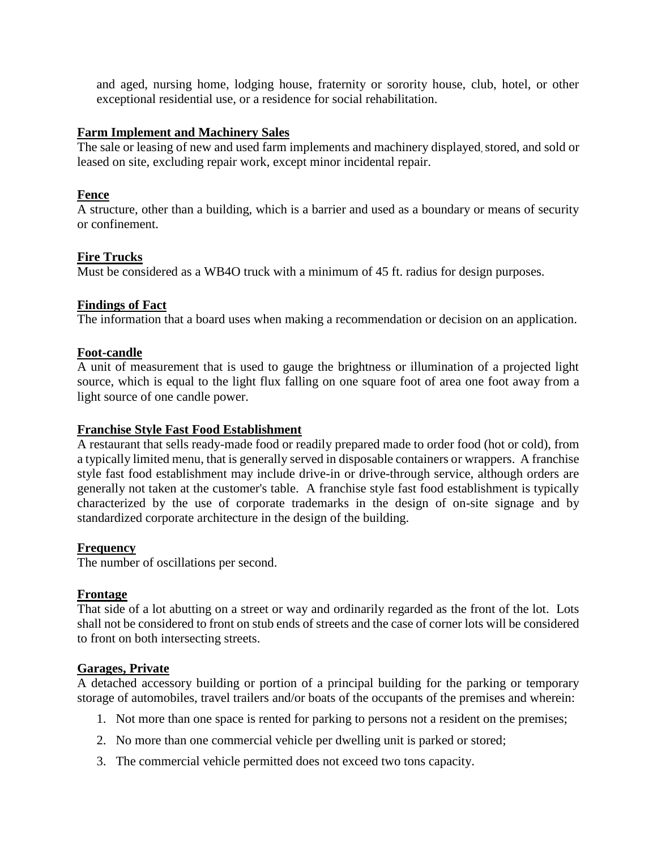and aged, nursing home, lodging house, fraternity or sorority house, club, hotel, or other exceptional residential use, or a residence for social rehabilitation.

## **Farm Implement and Machinery Sales**

The sale or leasing of new and used farm implements and machinery displayed, stored, and sold or leased on site, excluding repair work, except minor incidental repair.

#### **Fence**

A structure, other than a building, which is a barrier and used as a boundary or means of security or confinement.

## **Fire Trucks**

Must be considered as a WB4O truck with a minimum of 45 ft. radius for design purposes.

#### **Findings of Fact**

The information that a board uses when making a recommendation or decision on an application.

#### **Foot-candle**

A unit of measurement that is used to gauge the brightness or illumination of a projected light source, which is equal to the light flux falling on one square foot of area one foot away from a light source of one candle power.

#### **Franchise Style Fast Food Establishment**

A restaurant that sells ready-made food or readily prepared made to order food (hot or cold), from a typically limited menu, that is generally served in disposable containers or wrappers. A franchise style fast food establishment may include drive-in or drive-through service, although orders are generally not taken at the customer's table. A franchise style fast food establishment is typically characterized by the use of corporate trademarks in the design of on-site signage and by standardized corporate architecture in the design of the building.

## **Frequency**

The number of oscillations per second.

## **Frontage**

That side of a lot abutting on a street or way and ordinarily regarded as the front of the lot. Lots shall not be considered to front on stub ends of streets and the case of corner lots will be considered to front on both intersecting streets.

## **Garages, Private**

A detached accessory building or portion of a principal building for the parking or temporary storage of automobiles, travel trailers and/or boats of the occupants of the premises and wherein:

- 1. Not more than one space is rented for parking to persons not a resident on the premises;
- 2. No more than one commercial vehicle per dwelling unit is parked or stored;
- 3. The commercial vehicle permitted does not exceed two tons capacity.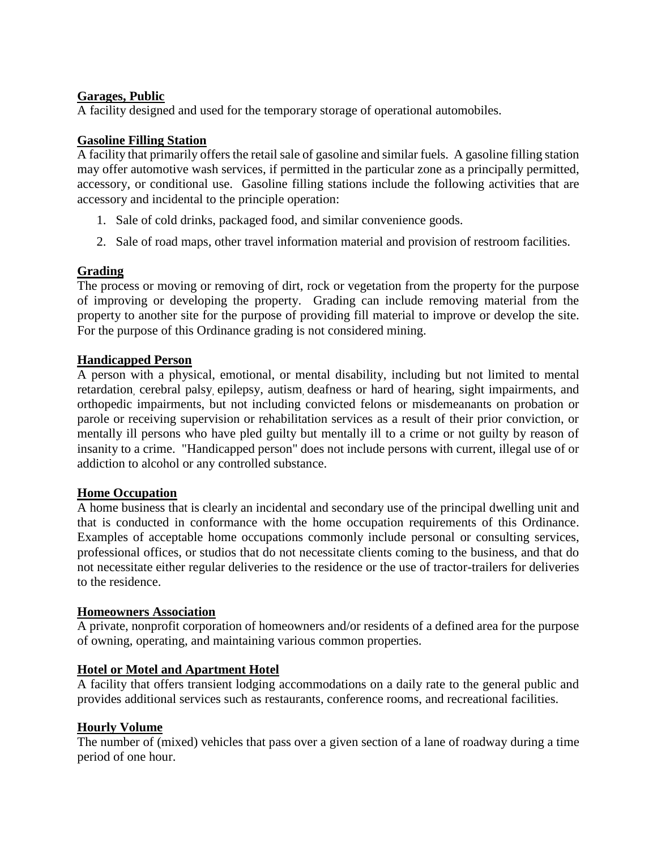## **Garages, Public**

A facility designed and used for the temporary storage of operational automobiles.

## **Gasoline Filling Station**

A facility that primarily offers the retail sale of gasoline and similar fuels. A gasoline filling station may offer automotive wash services, if permitted in the particular zone as a principally permitted, accessory, or conditional use. Gasoline filling stations include the following activities that are accessory and incidental to the principle operation:

- 1. Sale of cold drinks, packaged food, and similar convenience goods.
- 2. Sale of road maps, other travel information material and provision of restroom facilities.

# **Grading**

The process or moving or removing of dirt, rock or vegetation from the property for the purpose of improving or developing the property. Grading can include removing material from the property to another site for the purpose of providing fill material to improve or develop the site. For the purpose of this Ordinance grading is not considered mining.

## **Handicapped Person**

A person with a physical, emotional, or mental disability, including but not limited to mental retardation, cerebral palsy, epilepsy, autism, deafness or hard of hearing, sight impairments, and orthopedic impairments, but not including convicted felons or misdemeanants on probation or parole or receiving supervision or rehabilitation services as a result of their prior conviction, or mentally ill persons who have pled guilty but mentally ill to a crime or not guilty by reason of insanity to a crime. "Handicapped person" does not include persons with current, illegal use of or addiction to alcohol or any controlled substance.

## **Home Occupation**

A home business that is clearly an incidental and secondary use of the principal dwelling unit and that is conducted in conformance with the home occupation requirements of this Ordinance. Examples of acceptable home occupations commonly include personal or consulting services, professional offices, or studios that do not necessitate clients coming to the business, and that do not necessitate either regular deliveries to the residence or the use of tractor-trailers for deliveries to the residence.

## **Homeowners Association**

A private, nonprofit corporation of homeowners and/or residents of a defined area for the purpose of owning, operating, and maintaining various common properties.

# **Hotel or Motel and Apartment Hotel**

A facility that offers transient lodging accommodations on a daily rate to the general public and provides additional services such as restaurants, conference rooms, and recreational facilities.

## **Hourly Volume**

The number of (mixed) vehicles that pass over a given section of a lane of roadway during a time period of one hour.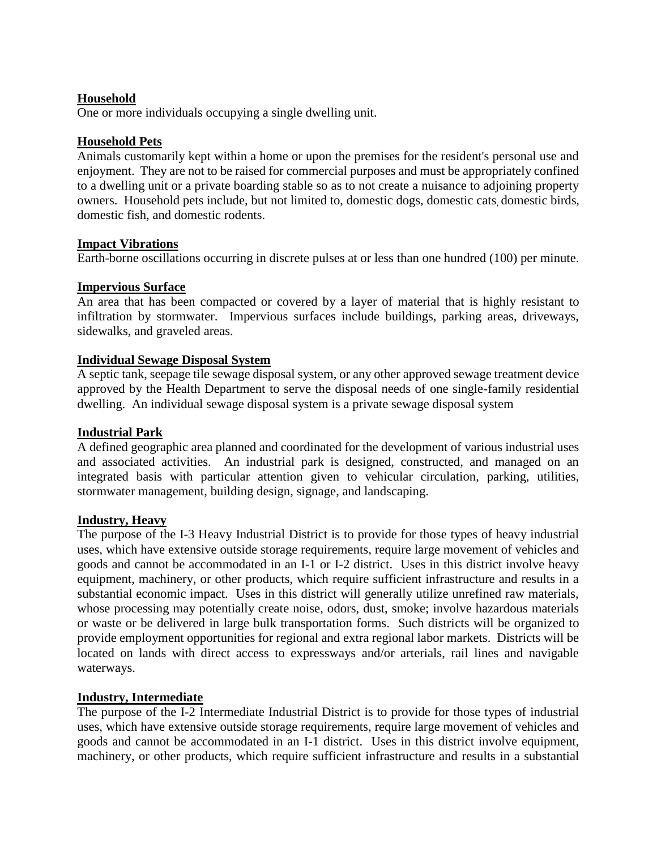## **Household**

One or more individuals occupying a single dwelling unit.

## **Household Pets**

Animals customarily kept within a home or upon the premises for the resident's personal use and enjoyment. They are not to be raised for commercial purposes and must be appropriately confined to a dwelling unit or a private boarding stable so as to not create a nuisance to adjoining property owners. Household pets include, but not limited to, domestic dogs, domestic cats, domestic birds, domestic fish, and domestic rodents.

## **Impact Vibrations**

Earth-borne oscillations occurring in discrete pulses at or less than one hundred (100) per minute.

## **Impervious Surface**

An area that has been compacted or covered by a layer of material that is highly resistant to infiltration by stormwater. Impervious surfaces include buildings, parking areas, driveways, sidewalks, and graveled areas.

## **Individual Sewage Disposal System**

A septic tank, seepage tile sewage disposal system, or any other approved sewage treatment device approved by the Health Department to serve the disposal needs of one single-family residential dwelling. An individual sewage disposal system is a private sewage disposal system

# **Industrial Park**

A defined geographic area planned and coordinated for the development of various industrial uses and associated activities. An industrial park is designed, constructed, and managed on an integrated basis with particular attention given to vehicular circulation, parking, utilities, stormwater management, building design, signage, and landscaping.

## **Industry, Heavy**

The purpose of the I-3 Heavy Industrial District is to provide for those types of heavy industrial uses, which have extensive outside storage requirements, require large movement of vehicles and goods and cannot be accommodated in an I-1 or I-2 district. Uses in this district involve heavy equipment, machinery, or other products, which require sufficient infrastructure and results in a substantial economic impact. Uses in this district will generally utilize unrefined raw materials, whose processing may potentially create noise, odors, dust, smoke; involve hazardous materials or waste or be delivered in large bulk transportation forms. Such districts will be organized to provide employment opportunities for regional and extra regional labor markets. Districts will be located on lands with direct access to expressways and/or arterials, rail lines and navigable waterways.

# **Industry, Intermediate**

The purpose of the I-2 Intermediate Industrial District is to provide for those types of industrial uses, which have extensive outside storage requirements, require large movement of vehicles and goods and cannot be accommodated in an I-1 district. Uses in this district involve equipment, machinery, or other products, which require sufficient infrastructure and results in a substantial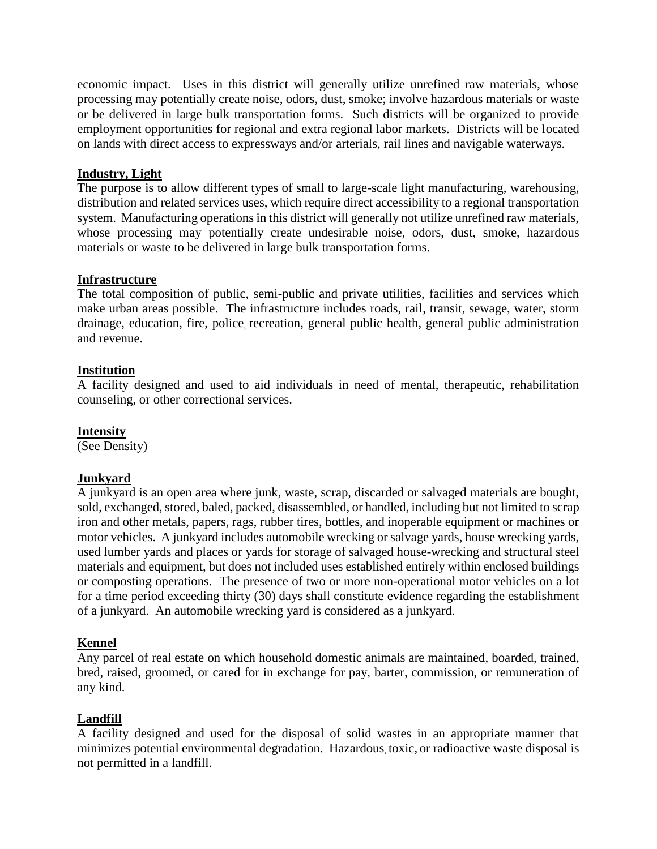economic impact. Uses in this district will generally utilize unrefined raw materials, whose processing may potentially create noise, odors, dust, smoke; involve hazardous materials or waste or be delivered in large bulk transportation forms. Such districts will be organized to provide employment opportunities for regional and extra regional labor markets. Districts will be located on lands with direct access to expressways and/or arterials, rail lines and navigable waterways.

## **Industry, Light**

The purpose is to allow different types of small to large-scale light manufacturing, warehousing, distribution and related services uses, which require direct accessibility to a regional transportation system. Manufacturing operations in this district will generally not utilize unrefined raw materials, whose processing may potentially create undesirable noise, odors, dust, smoke, hazardous materials or waste to be delivered in large bulk transportation forms.

## **Infrastructure**

The total composition of public, semi-public and private utilities, facilities and services which make urban areas possible. The infrastructure includes roads, rail, transit, sewage, water, storm drainage, education, fire, police, recreation, general public health, general public administration and revenue.

## **Institution**

A facility designed and used to aid individuals in need of mental, therapeutic, rehabilitation counseling, or other correctional services.

## **Intensity**

(See Density)

# **Junkyard**

A junkyard is an open area where junk, waste, scrap, discarded or salvaged materials are bought, sold, exchanged, stored, baled, packed, disassembled, or handled, including but not limited to scrap iron and other metals, papers, rags, rubber tires, bottles, and inoperable equipment or machines or motor vehicles. A junkyard includes automobile wrecking or salvage yards, house wrecking yards, used lumber yards and places or yards for storage of salvaged house-wrecking and structural steel materials and equipment, but does not included uses established entirely within enclosed buildings or composting operations. The presence of two or more non-operational motor vehicles on a lot for a time period exceeding thirty (30) days shall constitute evidence regarding the establishment of a junkyard. An automobile wrecking yard is considered as a junkyard.

# **Kennel**

Any parcel of real estate on which household domestic animals are maintained, boarded, trained, bred, raised, groomed, or cared for in exchange for pay, barter, commission, or remuneration of any kind.

# **Landfill**

A facility designed and used for the disposal of solid wastes in an appropriate manner that minimizes potential environmental degradation. Hazardous, toxic, or radioactive waste disposal is not permitted in a landfill.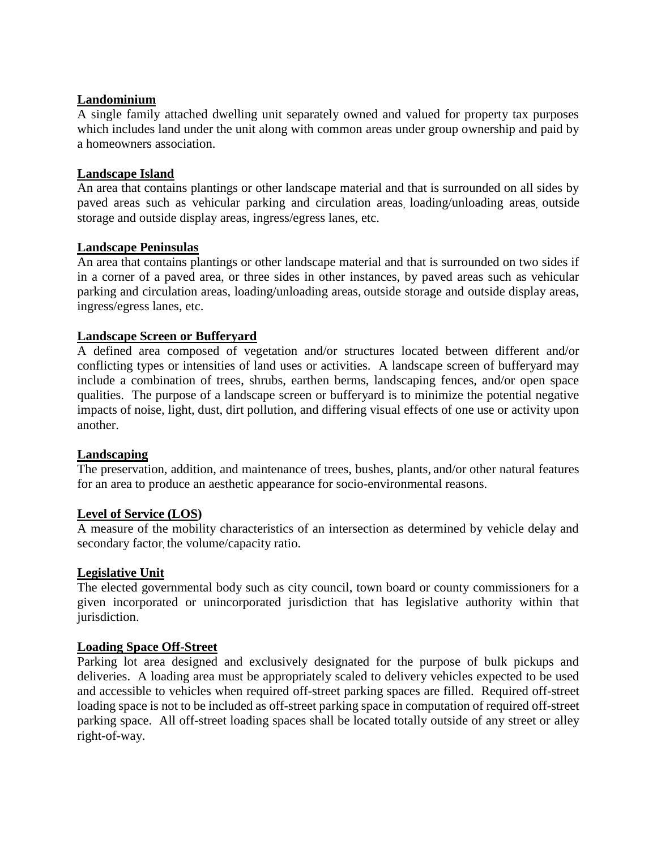## **Landominium**

A single family attached dwelling unit separately owned and valued for property tax purposes which includes land under the unit along with common areas under group ownership and paid by a homeowners association.

## **Landscape Island**

An area that contains plantings or other landscape material and that is surrounded on all sides by paved areas such as vehicular parking and circulation areas, loading/unloading areas, outside storage and outside display areas, ingress/egress lanes, etc.

## **Landscape Peninsulas**

An area that contains plantings or other landscape material and that is surrounded on two sides if in a corner of a paved area, or three sides in other instances, by paved areas such as vehicular parking and circulation areas, loading/unloading areas, outside storage and outside display areas, ingress/egress lanes, etc.

## **Landscape Screen or Bufferyard**

A defined area composed of vegetation and/or structures located between different and/or conflicting types or intensities of land uses or activities. A landscape screen of bufferyard may include a combination of trees, shrubs, earthen berms, landscaping fences, and/or open space qualities. The purpose of a landscape screen or bufferyard is to minimize the potential negative impacts of noise, light, dust, dirt pollution, and differing visual effects of one use or activity upon another.

## **Landscaping**

The preservation, addition, and maintenance of trees, bushes, plants, and/or other natural features for an area to produce an aesthetic appearance for socio-environmental reasons.

## **Level of Service (LOS)**

A measure of the mobility characteristics of an intersection as determined by vehicle delay and secondary factor, the volume/capacity ratio.

## **Legislative Unit**

The elected governmental body such as city council, town board or county commissioners for a given incorporated or unincorporated jurisdiction that has legislative authority within that jurisdiction.

## **Loading Space Off-Street**

Parking lot area designed and exclusively designated for the purpose of bulk pickups and deliveries. A loading area must be appropriately scaled to delivery vehicles expected to be used and accessible to vehicles when required off-street parking spaces are filled. Required off-street loading space is not to be included as off-street parking space in computation of required off-street parking space. All off-street loading spaces shall be located totally outside of any street or alley right-of-way.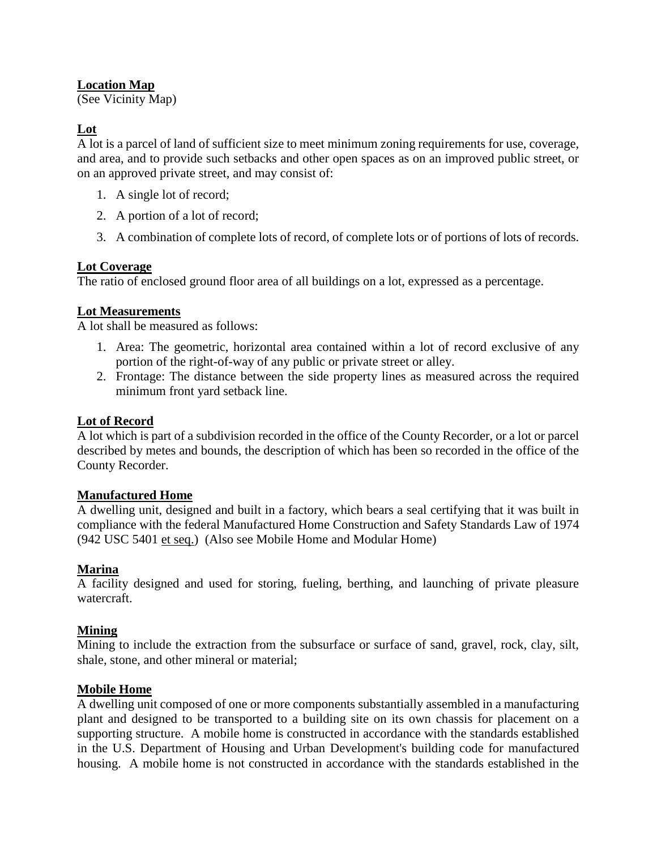# **Location Map**

(See Vicinity Map)

# **Lot**

A lot is a parcel of land of sufficient size to meet minimum zoning requirements for use, coverage, and area, and to provide such setbacks and other open spaces as on an improved public street, or on an approved private street, and may consist of:

- 1. A single lot of record;
- 2. A portion of a lot of record;
- 3. A combination of complete lots of record, of complete lots or of portions of lots of records.

## **Lot Coverage**

The ratio of enclosed ground floor area of all buildings on a lot, expressed as a percentage.

## **Lot Measurements**

A lot shall be measured as follows:

- 1. Area: The geometric, horizontal area contained within a lot of record exclusive of any portion of the right-of-way of any public or private street or alley.
- 2. Frontage: The distance between the side property lines as measured across the required minimum front yard setback line.

## **Lot of Record**

A lot which is part of a subdivision recorded in the office of the County Recorder, or a lot or parcel described by metes and bounds, the description of which has been so recorded in the office of the County Recorder.

## **Manufactured Home**

A dwelling unit, designed and built in a factory, which bears a seal certifying that it was built in compliance with the federal Manufactured Home Construction and Safety Standards Law of 1974 (942 USC 5401 et seq.) (Also see Mobile Home and Modular Home)

## **Marina**

A facility designed and used for storing, fueling, berthing, and launching of private pleasure watercraft.

## **Mining**

Mining to include the extraction from the subsurface or surface of sand, gravel, rock, clay, silt, shale, stone, and other mineral or material;

## **Mobile Home**

A dwelling unit composed of one or more components substantially assembled in a manufacturing plant and designed to be transported to a building site on its own chassis for placement on a supporting structure. A mobile home is constructed in accordance with the standards established in the U.S. Department of Housing and Urban Development's building code for manufactured housing. A mobile home is not constructed in accordance with the standards established in the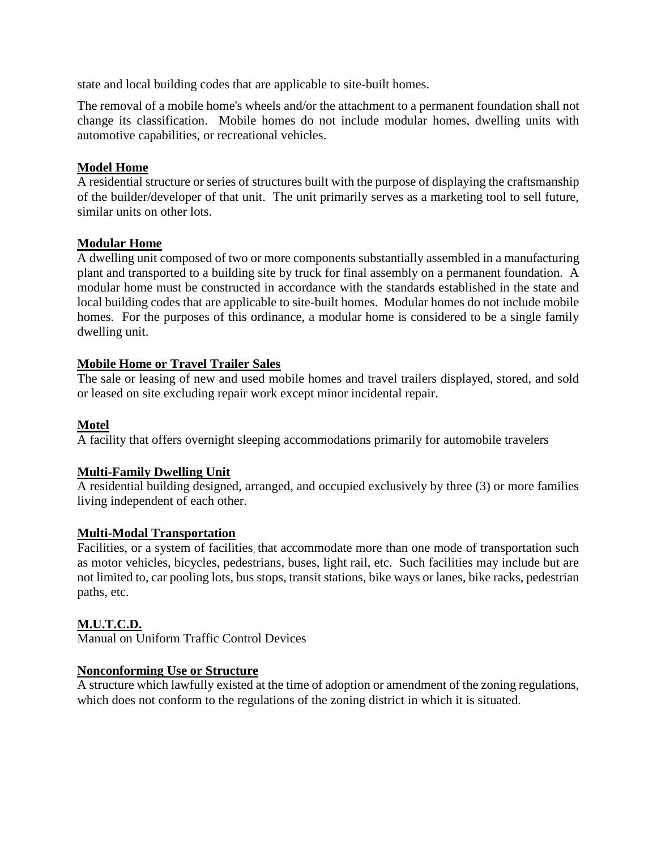state and local building codes that are applicable to site-built homes.

The removal of a mobile home's wheels and/or the attachment to a permanent foundation shall not change its classification. Mobile homes do not include modular homes, dwelling units with automotive capabilities, or recreational vehicles.

# **Model Home**

A residential structure or series of structures built with the purpose of displaying the craftsmanship of the builder/developer of that unit. The unit primarily serves as a marketing tool to sell future, similar units on other lots.

# **Modular Home**

A dwelling unit composed of two or more components substantially assembled in a manufacturing plant and transported to a building site by truck for final assembly on a permanent foundation. A modular home must be constructed in accordance with the standards established in the state and local building codes that are applicable to site-built homes. Modular homes do not include mobile homes. For the purposes of this ordinance, a modular home is considered to be a single family dwelling unit.

# **Mobile Home or Travel Trailer Sales**

The sale or leasing of new and used mobile homes and travel trailers displayed, stored, and sold or leased on site excluding repair work except minor incidental repair.

# **Motel**

A facility that offers overnight sleeping accommodations primarily for automobile travelers

# **Multi-Family Dwelling Unit**

A residential building designed, arranged, and occupied exclusively by three (3) or more families living independent of each other.

# **Multi-Modal Transportation**

Facilities, or a system of facilities, that accommodate more than one mode of transportation such as motor vehicles, bicycles, pedestrians, buses, light rail, etc. Such facilities may include but are not limited to, car pooling lots, bus stops, transit stations, bike ways or lanes, bike racks, pedestrian paths, etc.

# **M.U.T.C.D.**

Manual on Uniform Traffic Control Devices

# **Nonconforming Use or Structure**

A structure which lawfully existed at the time of adoption or amendment of the zoning regulations, which does not conform to the regulations of the zoning district in which it is situated.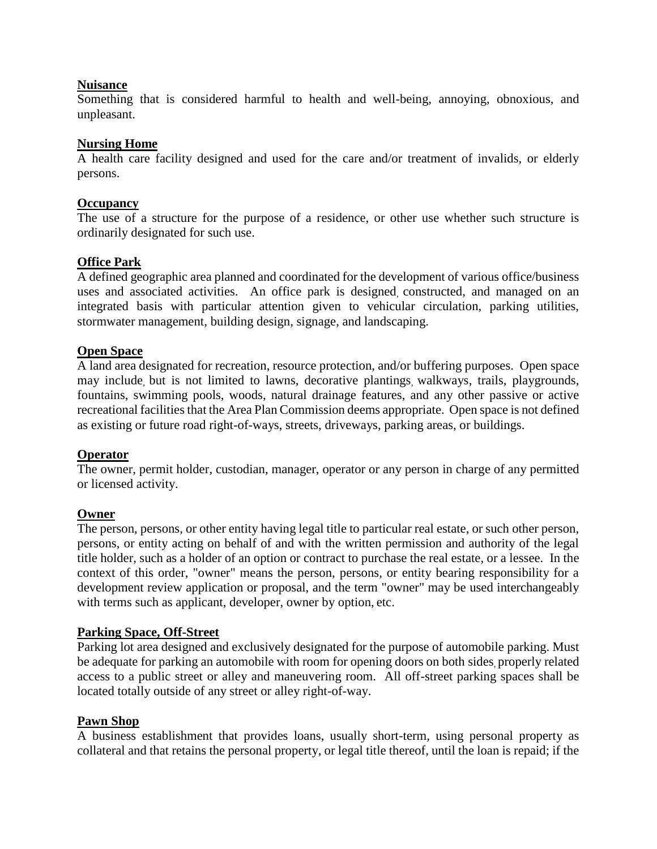## **Nuisance**

Something that is considered harmful to health and well-being, annoying, obnoxious, and unpleasant.

## **Nursing Home**

A health care facility designed and used for the care and/or treatment of invalids, or elderly persons.

## **Occupancy**

The use of a structure for the purpose of a residence, or other use whether such structure is ordinarily designated for such use.

## **Office Park**

A defined geographic area planned and coordinated for the development of various office/business uses and associated activities. An office park is designed, constructed, and managed on an integrated basis with particular attention given to vehicular circulation, parking utilities, stormwater management, building design, signage, and landscaping.

## **Open Space**

A land area designated for recreation, resource protection, and/or buffering purposes. Open space may include, but is not limited to lawns, decorative plantings, walkways, trails, playgrounds, fountains, swimming pools, woods, natural drainage features, and any other passive or active recreational facilities that the Area Plan Commission deems appropriate. Open space is not defined as existing or future road right-of-ways, streets, driveways, parking areas, or buildings.

## **Operator**

The owner, permit holder, custodian, manager, operator or any person in charge of any permitted or licensed activity.

## **Owner**

The person, persons, or other entity having legal title to particular real estate, or such other person, persons, or entity acting on behalf of and with the written permission and authority of the legal title holder, such as a holder of an option or contract to purchase the real estate, or a lessee. In the context of this order, "owner" means the person, persons, or entity bearing responsibility for a development review application or proposal, and the term "owner" may be used interchangeably with terms such as applicant, developer, owner by option, etc.

## **Parking Space, Off-Street**

Parking lot area designed and exclusively designated for the purpose of automobile parking. Must be adequate for parking an automobile with room for opening doors on both sides, properly related access to a public street or alley and maneuvering room. All off-street parking spaces shall be located totally outside of any street or alley right-of-way.

## **Pawn Shop**

A business establishment that provides loans, usually short-term, using personal property as collateral and that retains the personal property, or legal title thereof, until the loan is repaid; if the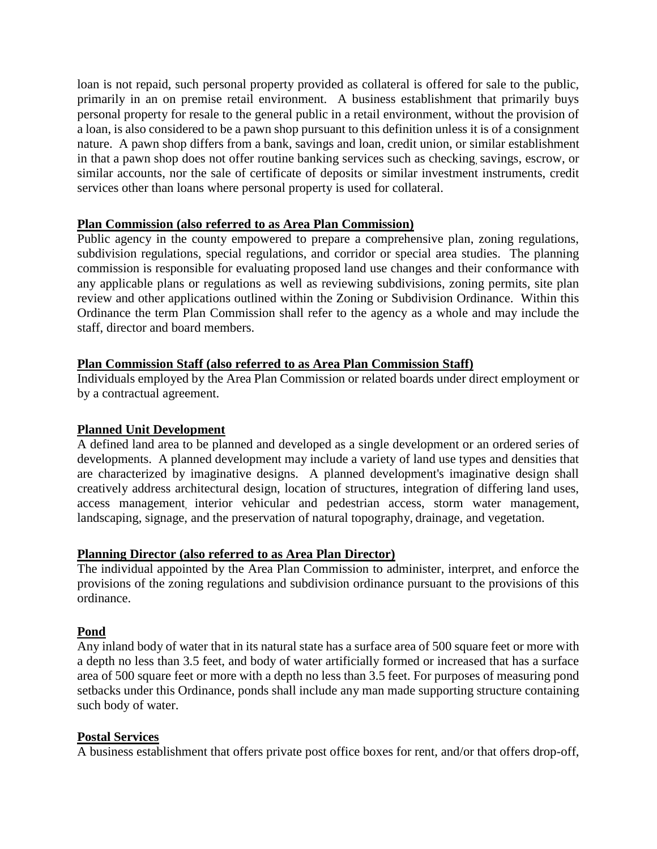loan is not repaid, such personal property provided as collateral is offered for sale to the public, primarily in an on premise retail environment. A business establishment that primarily buys personal property for resale to the general public in a retail environment, without the provision of a loan, is also considered to be a pawn shop pursuant to this definition unless it is of a consignment nature. A pawn shop differs from a bank, savings and loan, credit union, or similar establishment in that a pawn shop does not offer routine banking services such as checking, savings, escrow, or similar accounts, nor the sale of certificate of deposits or similar investment instruments, credit services other than loans where personal property is used for collateral.

## **Plan Commission (also referred to as Area Plan Commission)**

Public agency in the county empowered to prepare a comprehensive plan, zoning regulations, subdivision regulations, special regulations, and corridor or special area studies. The planning commission is responsible for evaluating proposed land use changes and their conformance with any applicable plans or regulations as well as reviewing subdivisions, zoning permits, site plan review and other applications outlined within the Zoning or Subdivision Ordinance. Within this Ordinance the term Plan Commission shall refer to the agency as a whole and may include the staff, director and board members.

## **Plan Commission Staff (also referred to as Area Plan Commission Staff)**

Individuals employed by the Area Plan Commission or related boards under direct employment or by a contractual agreement.

## **Planned Unit Development**

A defined land area to be planned and developed as a single development or an ordered series of developments. A planned development may include a variety of land use types and densities that are characterized by imaginative designs. A planned development's imaginative design shall creatively address architectural design, location of structures, integration of differing land uses, access management, interior vehicular and pedestrian access, storm water management, landscaping, signage, and the preservation of natural topography, drainage, and vegetation.

## **Planning Director (also referred to as Area Plan Director)**

The individual appointed by the Area Plan Commission to administer, interpret, and enforce the provisions of the zoning regulations and subdivision ordinance pursuant to the provisions of this ordinance.

# **Pond**

Any inland body of water that in its natural state has a surface area of 500 square feet or more with a depth no less than 3.5 feet, and body of water artificially formed or increased that has a surface area of 500 square feet or more with a depth no less than 3.5 feet. For purposes of measuring pond setbacks under this Ordinance, ponds shall include any man made supporting structure containing such body of water.

# **Postal Services**

A business establishment that offers private post office boxes for rent, and/or that offers drop-off,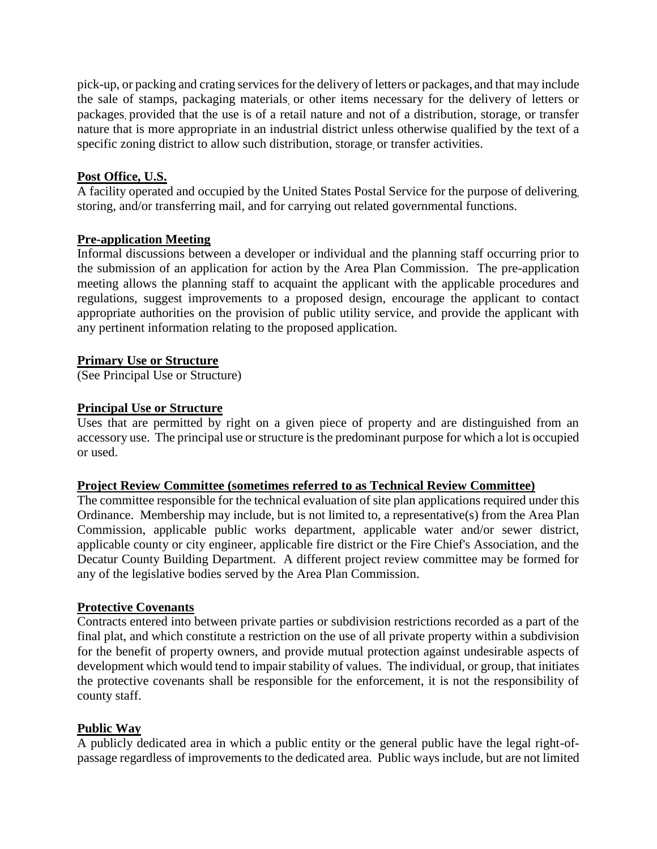pick-up, or packing and crating services for the delivery of letters or packages, and that may include the sale of stamps, packaging materials, or other items necessary for the delivery of letters or packages, provided that the use is of a retail nature and not of a distribution, storage, or transfer nature that is more appropriate in an industrial district unless otherwise qualified by the text of a specific zoning district to allow such distribution, storage, or transfer activities.

# **Post Office, U.S.**

A facility operated and occupied by the United States Postal Service for the purpose of delivering, storing, and/or transferring mail, and for carrying out related governmental functions.

# **Pre-application Meeting**

Informal discussions between a developer or individual and the planning staff occurring prior to the submission of an application for action by the Area Plan Commission. The pre-application meeting allows the planning staff to acquaint the applicant with the applicable procedures and regulations, suggest improvements to a proposed design, encourage the applicant to contact appropriate authorities on the provision of public utility service, and provide the applicant with any pertinent information relating to the proposed application.

# **Primary Use or Structure**

(See Principal Use or Structure)

## **Principal Use or Structure**

Uses that are permitted by right on a given piece of property and are distinguished from an accessory use. The principal use or structure is the predominant purpose for which a lot is occupied or used.

## **Project Review Committee (sometimes referred to as Technical Review Committee)**

The committee responsible for the technical evaluation of site plan applications required under this Ordinance. Membership may include, but is not limited to, a representative(s) from the Area Plan Commission, applicable public works department, applicable water and/or sewer district, applicable county or city engineer, applicable fire district or the Fire Chief's Association, and the Decatur County Building Department. A different project review committee may be formed for any of the legislative bodies served by the Area Plan Commission.

# **Protective Covenants**

Contracts entered into between private parties or subdivision restrictions recorded as a part of the final plat, and which constitute a restriction on the use of all private property within a subdivision for the benefit of property owners, and provide mutual protection against undesirable aspects of development which would tend to impair stability of values. The individual, or group, that initiates the protective covenants shall be responsible for the enforcement, it is not the responsibility of county staff.

# **Public Way**

A publicly dedicated area in which a public entity or the general public have the legal right-ofpassage regardless of improvements to the dedicated area. Public ways include, but are not limited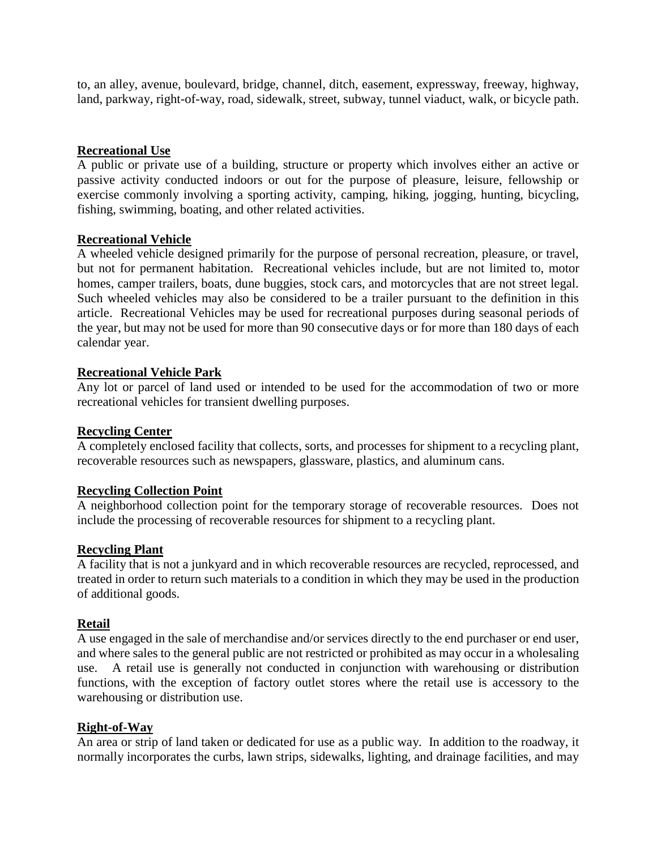to, an alley, avenue, boulevard, bridge, channel, ditch, easement, expressway, freeway, highway, land, parkway, right-of-way, road, sidewalk, street, subway, tunnel viaduct, walk, or bicycle path.

## **Recreational Use**

A public or private use of a building, structure or property which involves either an active or passive activity conducted indoors or out for the purpose of pleasure, leisure, fellowship or exercise commonly involving a sporting activity, camping, hiking, jogging, hunting, bicycling, fishing, swimming, boating, and other related activities.

## **Recreational Vehicle**

A wheeled vehicle designed primarily for the purpose of personal recreation, pleasure, or travel, but not for permanent habitation. Recreational vehicles include, but are not limited to, motor homes, camper trailers, boats, dune buggies, stock cars, and motorcycles that are not street legal. Such wheeled vehicles may also be considered to be a trailer pursuant to the definition in this article. Recreational Vehicles may be used for recreational purposes during seasonal periods of the year, but may not be used for more than 90 consecutive days or for more than 180 days of each calendar year.

## **Recreational Vehicle Park**

Any lot or parcel of land used or intended to be used for the accommodation of two or more recreational vehicles for transient dwelling purposes.

## **Recycling Center**

A completely enclosed facility that collects, sorts, and processes for shipment to a recycling plant, recoverable resources such as newspapers, glassware, plastics, and aluminum cans.

## **Recycling Collection Point**

A neighborhood collection point for the temporary storage of recoverable resources. Does not include the processing of recoverable resources for shipment to a recycling plant.

## **Recycling Plant**

A facility that is not a junkyard and in which recoverable resources are recycled, reprocessed, and treated in order to return such materials to a condition in which they may be used in the production of additional goods.

# **Retail**

A use engaged in the sale of merchandise and/or services directly to the end purchaser or end user, and where sales to the general public are not restricted or prohibited as may occur in a wholesaling use. A retail use is generally not conducted in conjunction with warehousing or distribution functions, with the exception of factory outlet stores where the retail use is accessory to the warehousing or distribution use.

## **Right-of-Way**

An area or strip of land taken or dedicated for use as a public way. In addition to the roadway, it normally incorporates the curbs, lawn strips, sidewalks, lighting, and drainage facilities, and may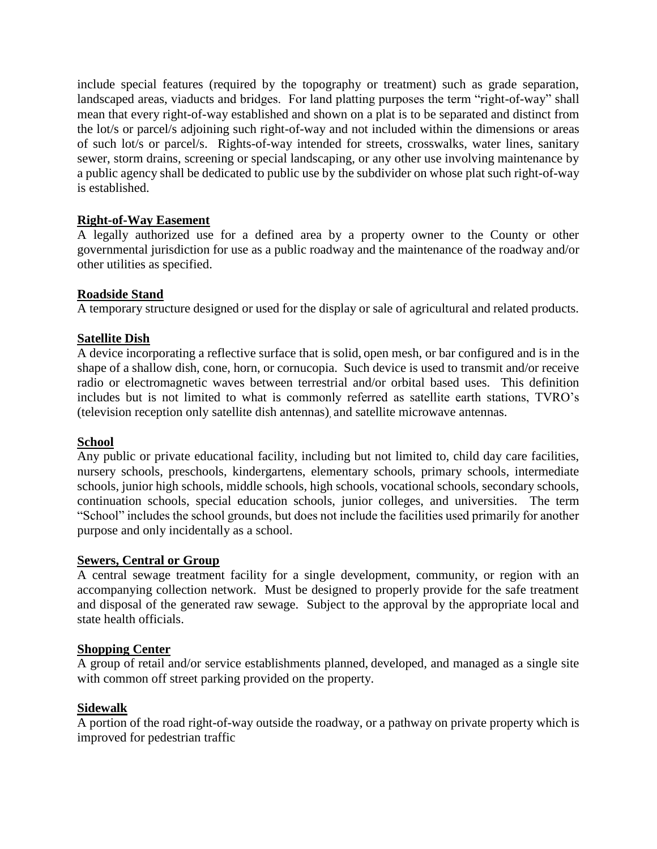include special features (required by the topography or treatment) such as grade separation, landscaped areas, viaducts and bridges. For land platting purposes the term "right-of-way" shall mean that every right-of-way established and shown on a plat is to be separated and distinct from the lot/s or parcel/s adjoining such right-of-way and not included within the dimensions or areas of such lot/s or parcel/s. Rights-of-way intended for streets, crosswalks, water lines, sanitary sewer, storm drains, screening or special landscaping, or any other use involving maintenance by a public agency shall be dedicated to public use by the subdivider on whose plat such right-of-way is established.

## **Right-of-Way Easement**

A legally authorized use for a defined area by a property owner to the County or other governmental jurisdiction for use as a public roadway and the maintenance of the roadway and/or other utilities as specified.

## **Roadside Stand**

A temporary structure designed or used for the display or sale of agricultural and related products.

## **Satellite Dish**

A device incorporating a reflective surface that is solid, open mesh, or bar configured and is in the shape of a shallow dish, cone, horn, or cornucopia. Such device is used to transmit and/or receive radio or electromagnetic waves between terrestrial and/or orbital based uses. This definition includes but is not limited to what is commonly referred as satellite earth stations, TVRO's (television reception only satellite dish antennas), and satellite microwave antennas.

# **School**

Any public or private educational facility, including but not limited to, child day care facilities, nursery schools, preschools, kindergartens, elementary schools, primary schools, intermediate schools, junior high schools, middle schools, high schools, vocational schools, secondary schools, continuation schools, special education schools, junior colleges, and universities. The term "School" includes the school grounds, but does not include the facilities used primarily for another purpose and only incidentally as a school.

# **Sewers, Central or Group**

A central sewage treatment facility for a single development, community, or region with an accompanying collection network. Must be designed to properly provide for the safe treatment and disposal of the generated raw sewage. Subject to the approval by the appropriate local and state health officials.

## **Shopping Center**

A group of retail and/or service establishments planned, developed, and managed as a single site with common off street parking provided on the property.

## **Sidewalk**

A portion of the road right-of-way outside the roadway, or a pathway on private property which is improved for pedestrian traffic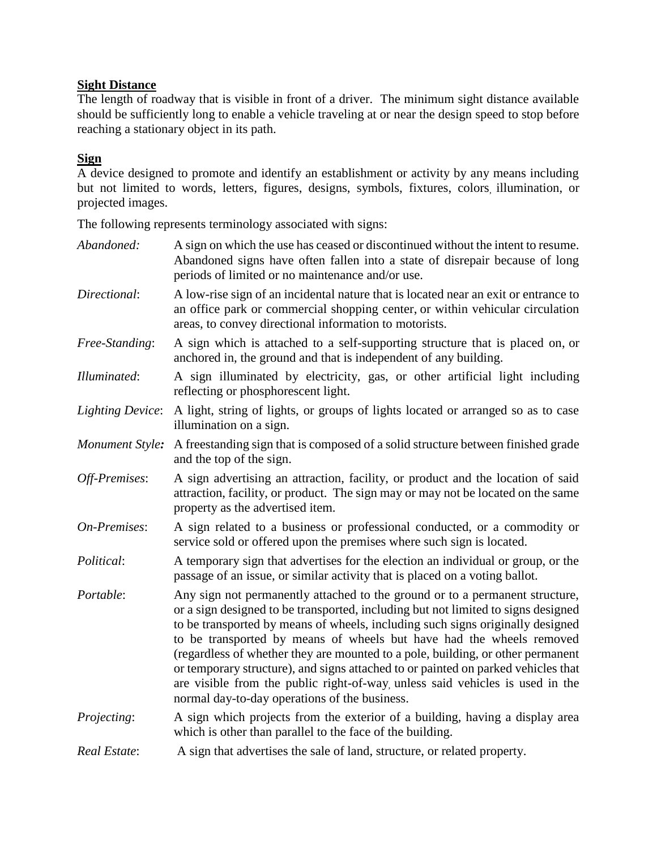# **Sight Distance**

The length of roadway that is visible in front of a driver. The minimum sight distance available should be sufficiently long to enable a vehicle traveling at or near the design speed to stop before reaching a stationary object in its path.

# **Sign**

A device designed to promote and identify an establishment or activity by any means including but not limited to words, letters, figures, designs, symbols, fixtures, colors, illumination, or projected images.

The following represents terminology associated with signs:

| Abandoned:              | A sign on which the use has ceased or discontinued without the intent to resume.<br>Abandoned signs have often fallen into a state of disrepair because of long<br>periods of limited or no maintenance and/or use.                                                                                                                                                                                                                                                                                                                                                                                                                   |
|-------------------------|---------------------------------------------------------------------------------------------------------------------------------------------------------------------------------------------------------------------------------------------------------------------------------------------------------------------------------------------------------------------------------------------------------------------------------------------------------------------------------------------------------------------------------------------------------------------------------------------------------------------------------------|
| Directional:            | A low-rise sign of an incidental nature that is located near an exit or entrance to<br>an office park or commercial shopping center, or within vehicular circulation<br>areas, to convey directional information to motorists.                                                                                                                                                                                                                                                                                                                                                                                                        |
| Free-Standing:          | A sign which is attached to a self-supporting structure that is placed on, or<br>anchored in, the ground and that is independent of any building.                                                                                                                                                                                                                                                                                                                                                                                                                                                                                     |
| Illuminated:            | A sign illuminated by electricity, gas, or other artificial light including<br>reflecting or phosphorescent light.                                                                                                                                                                                                                                                                                                                                                                                                                                                                                                                    |
| <b>Lighting Device:</b> | A light, string of lights, or groups of lights located or arranged so as to case<br>illumination on a sign.                                                                                                                                                                                                                                                                                                                                                                                                                                                                                                                           |
| Monument Style:         | A freestanding sign that is composed of a solid structure between finished grade<br>and the top of the sign.                                                                                                                                                                                                                                                                                                                                                                                                                                                                                                                          |
| Off-Premises:           | A sign advertising an attraction, facility, or product and the location of said<br>attraction, facility, or product. The sign may or may not be located on the same<br>property as the advertised item.                                                                                                                                                                                                                                                                                                                                                                                                                               |
| On-Premises:            | A sign related to a business or professional conducted, or a commodity or<br>service sold or offered upon the premises where such sign is located.                                                                                                                                                                                                                                                                                                                                                                                                                                                                                    |
| Political:              | A temporary sign that advertises for the election an individual or group, or the<br>passage of an issue, or similar activity that is placed on a voting ballot.                                                                                                                                                                                                                                                                                                                                                                                                                                                                       |
| Portable:               | Any sign not permanently attached to the ground or to a permanent structure,<br>or a sign designed to be transported, including but not limited to signs designed<br>to be transported by means of wheels, including such signs originally designed<br>to be transported by means of wheels but have had the wheels removed<br>(regardless of whether they are mounted to a pole, building, or other permanent<br>or temporary structure), and signs attached to or painted on parked vehicles that<br>are visible from the public right-of-way, unless said vehicles is used in the<br>normal day-to-day operations of the business. |
| Projecting:             | A sign which projects from the exterior of a building, having a display area<br>which is other than parallel to the face of the building.                                                                                                                                                                                                                                                                                                                                                                                                                                                                                             |
| Real Estate:            | A sign that advertises the sale of land, structure, or related property.                                                                                                                                                                                                                                                                                                                                                                                                                                                                                                                                                              |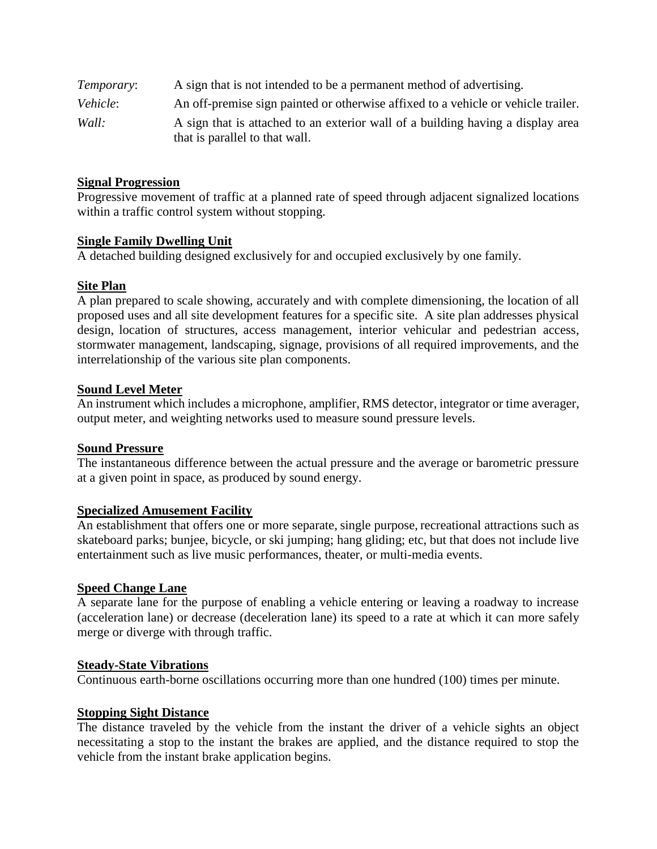| Temporary: | A sign that is not intended to be a permanent method of advertising.                                              |
|------------|-------------------------------------------------------------------------------------------------------------------|
| Vehicle:   | An off-premise sign painted or otherwise affixed to a vehicle or vehicle trailer.                                 |
| Wall:      | A sign that is attached to an exterior wall of a building having a display area<br>that is parallel to that wall. |

#### **Signal Progression**

Progressive movement of traffic at a planned rate of speed through adjacent signalized locations within a traffic control system without stopping.

## **Single Family Dwelling Unit**

A detached building designed exclusively for and occupied exclusively by one family.

#### **Site Plan**

A plan prepared to scale showing, accurately and with complete dimensioning, the location of all proposed uses and all site development features for a specific site. A site plan addresses physical design, location of structures, access management, interior vehicular and pedestrian access, stormwater management, landscaping, signage, provisions of all required improvements, and the interrelationship of the various site plan components.

#### **Sound Level Meter**

An instrument which includes a microphone, amplifier, RMS detector, integrator or time averager, output meter, and weighting networks used to measure sound pressure levels.

#### **Sound Pressure**

The instantaneous difference between the actual pressure and the average or barometric pressure at a given point in space, as produced by sound energy.

#### **Specialized Amusement Facility**

An establishment that offers one or more separate, single purpose, recreational attractions such as skateboard parks; bunjee, bicycle, or ski jumping; hang gliding; etc, but that does not include live entertainment such as live music performances, theater, or multi-media events.

#### **Speed Change Lane**

A separate lane for the purpose of enabling a vehicle entering or leaving a roadway to increase (acceleration lane) or decrease (deceleration lane) its speed to a rate at which it can more safely merge or diverge with through traffic.

#### **Steady-State Vibrations**

Continuous earth-borne oscillations occurring more than one hundred (100) times per minute.

#### **Stopping Sight Distance**

The distance traveled by the vehicle from the instant the driver of a vehicle sights an object necessitating a stop to the instant the brakes are applied, and the distance required to stop the vehicle from the instant brake application begins.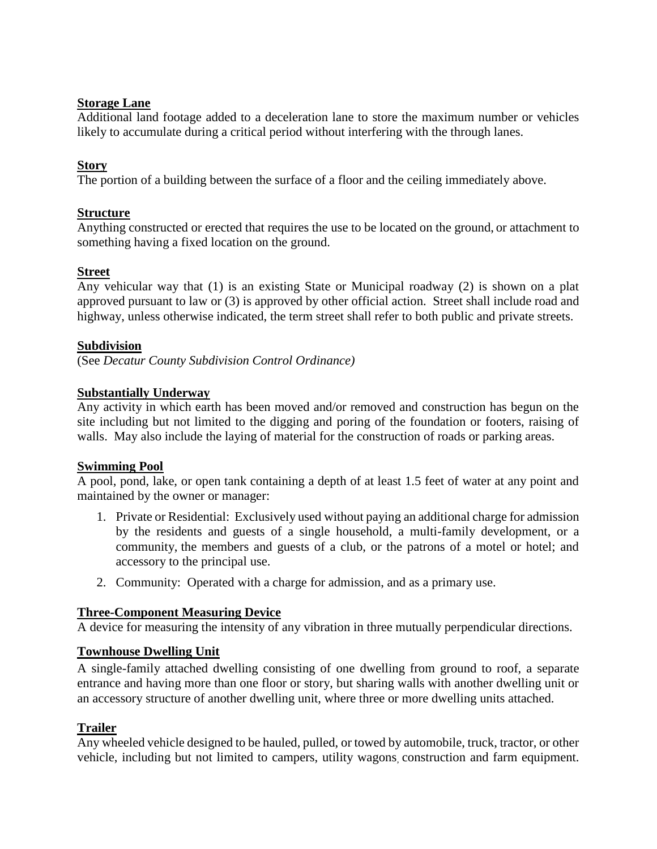## **Storage Lane**

Additional land footage added to a deceleration lane to store the maximum number or vehicles likely to accumulate during a critical period without interfering with the through lanes.

## **Story**

The portion of a building between the surface of a floor and the ceiling immediately above.

## **Structure**

Anything constructed or erected that requires the use to be located on the ground, or attachment to something having a fixed location on the ground.

## **Street**

Any vehicular way that (1) is an existing State or Municipal roadway (2) is shown on a plat approved pursuant to law or (3) is approved by other official action. Street shall include road and highway, unless otherwise indicated, the term street shall refer to both public and private streets.

## **Subdivision**

(See *Decatur County Subdivision Control Ordinance)*

## **Substantially Underway**

Any activity in which earth has been moved and/or removed and construction has begun on the site including but not limited to the digging and poring of the foundation or footers, raising of walls. May also include the laying of material for the construction of roads or parking areas.

## **Swimming Pool**

A pool, pond, lake, or open tank containing a depth of at least 1.5 feet of water at any point and maintained by the owner or manager:

- 1. Private or Residential: Exclusively used without paying an additional charge for admission by the residents and guests of a single household, a multi-family development, or a community, the members and guests of a club, or the patrons of a motel or hotel; and accessory to the principal use.
- 2. Community: Operated with a charge for admission, and as a primary use.

# **Three-Component Measuring Device**

A device for measuring the intensity of any vibration in three mutually perpendicular directions.

## **Townhouse Dwelling Unit**

A single-family attached dwelling consisting of one dwelling from ground to roof, a separate entrance and having more than one floor or story, but sharing walls with another dwelling unit or an accessory structure of another dwelling unit, where three or more dwelling units attached.

# **Trailer**

Any wheeled vehicle designed to be hauled, pulled, or towed by automobile, truck, tractor, or other vehicle, including but not limited to campers, utility wagons, construction and farm equipment.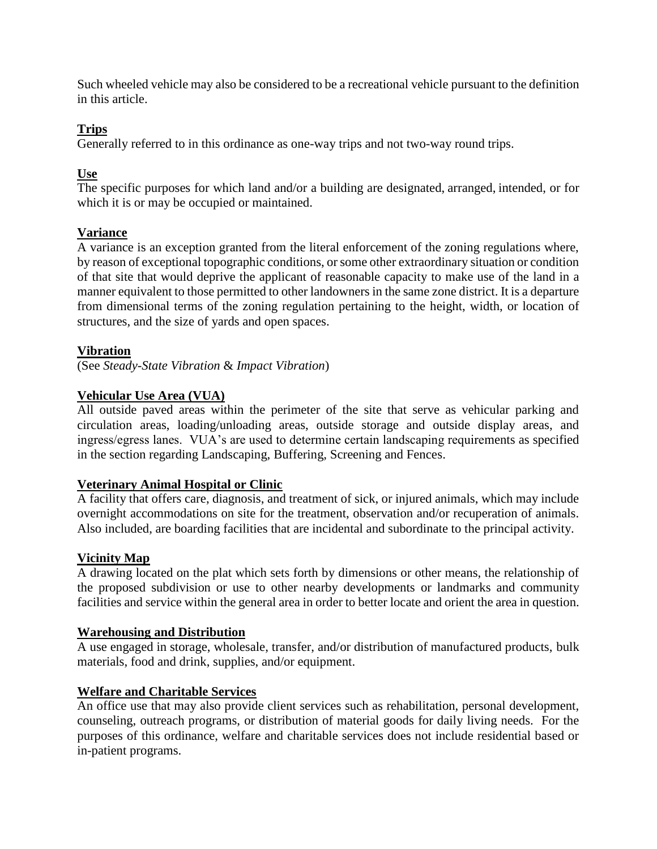Such wheeled vehicle may also be considered to be a recreational vehicle pursuant to the definition in this article.

# **Trips**

Generally referred to in this ordinance as one-way trips and not two-way round trips.

# **Use**

The specific purposes for which land and/or a building are designated, arranged, intended, or for which it is or may be occupied or maintained.

# **Variance**

A variance is an exception granted from the literal enforcement of the zoning regulations where, by reason of exceptional topographic conditions, or some other extraordinary situation or condition of that site that would deprive the applicant of reasonable capacity to make use of the land in a manner equivalent to those permitted to other landowners in the same zone district. It is a departure from dimensional terms of the zoning regulation pertaining to the height, width, or location of structures, and the size of yards and open spaces.

# **Vibration**

(See *Steady-State Vibration* & *Impact Vibration*)

# **Vehicular Use Area (VUA)**

All outside paved areas within the perimeter of the site that serve as vehicular parking and circulation areas, loading/unloading areas, outside storage and outside display areas, and ingress/egress lanes. VUA's are used to determine certain landscaping requirements as specified in the section regarding Landscaping, Buffering, Screening and Fences.

# **Veterinary Animal Hospital or Clinic**

A facility that offers care, diagnosis, and treatment of sick, or injured animals, which may include overnight accommodations on site for the treatment, observation and/or recuperation of animals. Also included, are boarding facilities that are incidental and subordinate to the principal activity.

# **Vicinity Map**

A drawing located on the plat which sets forth by dimensions or other means, the relationship of the proposed subdivision or use to other nearby developments or landmarks and community facilities and service within the general area in order to better locate and orient the area in question.

# **Warehousing and Distribution**

A use engaged in storage, wholesale, transfer, and/or distribution of manufactured products, bulk materials, food and drink, supplies, and/or equipment.

# **Welfare and Charitable Services**

An office use that may also provide client services such as rehabilitation, personal development, counseling, outreach programs, or distribution of material goods for daily living needs. For the purposes of this ordinance, welfare and charitable services does not include residential based or in-patient programs.